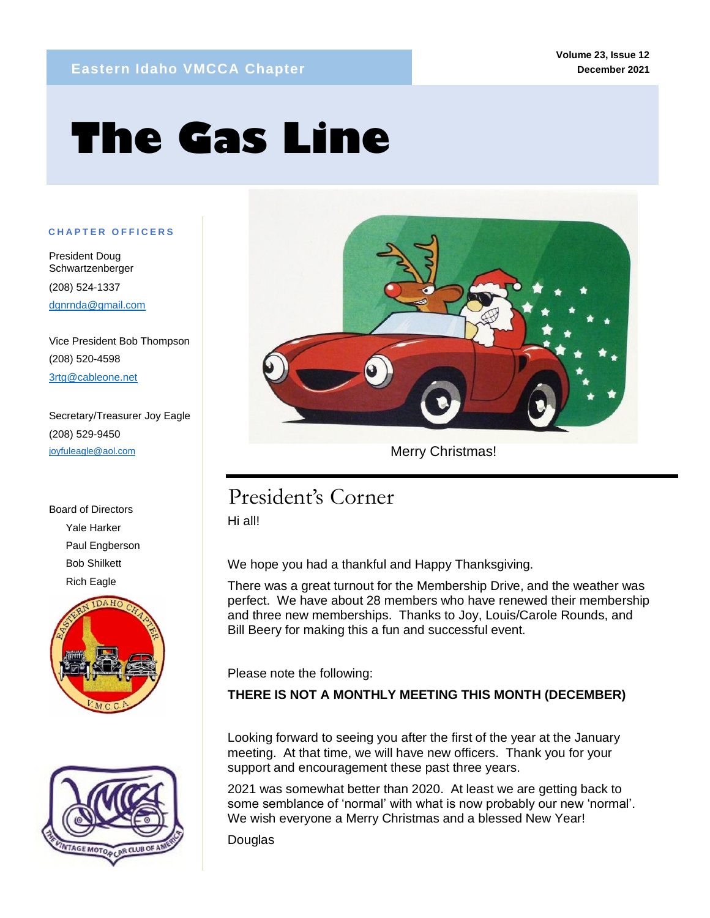# **The Gas Line**

#### **C H A P T E R O F F I C E R S**

President Doug Schwartzenberger (208) 524-1337 dgnrnda@gmail.com

mm

Vice President Bob Thompson (208) 520-4598 3rtg@cableone.net

Secretary/Treasurer Joy Eagle (208) 529-9450 joyfuleagle@aol.com

Board of Directors Yale Harker Paul Engberson Bob Shilkett Rich Eagle







Merry Christmas!

# President's Corner

Hi all!

We hope you had a thankful and Happy Thanksgiving.

There was a great turnout for the Membership Drive, and the weather was perfect. We have about 28 members who have renewed their membership and three new memberships. Thanks to Joy, Louis/Carole Rounds, and Bill Beery for making this a fun and successful event.

Please note the following:

**THERE IS NOT A MONTHLY MEETING THIS MONTH (DECEMBER)**

Looking forward to seeing you after the first of the year at the January meeting. At that time, we will have new officers. Thank you for your support and encouragement these past three years.

2021 was somewhat better than 2020. At least we are getting back to some semblance of 'normal' with what is now probably our new 'normal'. We wish everyone a Merry Christmas and a blessed New Year!

**Douglas**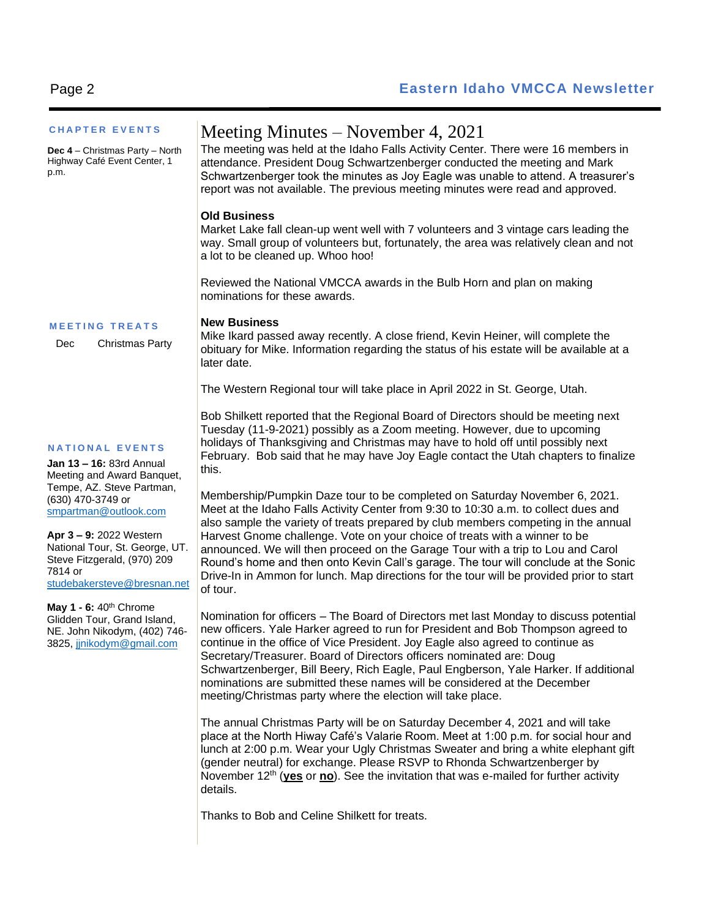| <b>CHAPTER EVENTS</b>                                                                                                                                                                                                                                                                             | Meeting Minutes – November 4, 2021                                                                                                                                                                                                                                                                                                                                                                                                                                                                                                                                                                                      |
|---------------------------------------------------------------------------------------------------------------------------------------------------------------------------------------------------------------------------------------------------------------------------------------------------|-------------------------------------------------------------------------------------------------------------------------------------------------------------------------------------------------------------------------------------------------------------------------------------------------------------------------------------------------------------------------------------------------------------------------------------------------------------------------------------------------------------------------------------------------------------------------------------------------------------------------|
| <b>Dec 4</b> – Christmas Party – North<br>Highway Café Event Center, 1<br>p.m.                                                                                                                                                                                                                    | The meeting was held at the Idaho Falls Activity Center. There were 16 members in<br>attendance. President Doug Schwartzenberger conducted the meeting and Mark<br>Schwartzenberger took the minutes as Joy Eagle was unable to attend. A treasurer's<br>report was not available. The previous meeting minutes were read and approved.                                                                                                                                                                                                                                                                                 |
|                                                                                                                                                                                                                                                                                                   | <b>Old Business</b><br>Market Lake fall clean-up went well with 7 volunteers and 3 vintage cars leading the<br>way. Small group of volunteers but, fortunately, the area was relatively clean and not<br>a lot to be cleaned up. Whoo hoo!                                                                                                                                                                                                                                                                                                                                                                              |
|                                                                                                                                                                                                                                                                                                   | Reviewed the National VMCCA awards in the Bulb Horn and plan on making<br>nominations for these awards.                                                                                                                                                                                                                                                                                                                                                                                                                                                                                                                 |
| <b>MEETING TREATS</b><br><b>Christmas Party</b><br>Dec                                                                                                                                                                                                                                            | <b>New Business</b><br>Mike Ikard passed away recently. A close friend, Kevin Heiner, will complete the<br>obituary for Mike. Information regarding the status of his estate will be available at a<br>later date.                                                                                                                                                                                                                                                                                                                                                                                                      |
|                                                                                                                                                                                                                                                                                                   | The Western Regional tour will take place in April 2022 in St. George, Utah.                                                                                                                                                                                                                                                                                                                                                                                                                                                                                                                                            |
| <b>NATIONAL EVENTS</b><br>Jan 13 - 16: 83rd Annual<br>Meeting and Award Banquet,<br>Tempe, AZ. Steve Partman,<br>(630) 470-3749 or<br>smpartman@outlook.com<br>Apr 3 - 9: 2022 Western<br>National Tour, St. George, UT.<br>Steve Fitzgerald, (970) 209<br>7814 or<br>studebakersteve@bresnan.net | Bob Shilkett reported that the Regional Board of Directors should be meeting next<br>Tuesday (11-9-2021) possibly as a Zoom meeting. However, due to upcoming<br>holidays of Thanksgiving and Christmas may have to hold off until possibly next<br>February. Bob said that he may have Joy Eagle contact the Utah chapters to finalize<br>this.                                                                                                                                                                                                                                                                        |
|                                                                                                                                                                                                                                                                                                   | Membership/Pumpkin Daze tour to be completed on Saturday November 6, 2021.<br>Meet at the Idaho Falls Activity Center from 9:30 to 10:30 a.m. to collect dues and<br>also sample the variety of treats prepared by club members competing in the annual<br>Harvest Gnome challenge. Vote on your choice of treats with a winner to be<br>announced. We will then proceed on the Garage Tour with a trip to Lou and Carol<br>Round's home and then onto Kevin Call's garage. The tour will conclude at the Sonic<br>Drive-In in Ammon for lunch. Map directions for the tour will be provided prior to start<br>of tour. |
| May $1 - 6$ : $40th$ Chrome<br>Glidden Tour, Grand Island,<br>NE. John Nikodym, (402) 746-<br>3825, jjnikodym@gmail.com                                                                                                                                                                           | Nomination for officers - The Board of Directors met last Monday to discuss potential<br>new officers. Yale Harker agreed to run for President and Bob Thompson agreed to<br>continue in the office of Vice President. Joy Eagle also agreed to continue as<br>Secretary/Treasurer. Board of Directors officers nominated are: Doug<br>Schwartzenberger, Bill Beery, Rich Eagle, Paul Engberson, Yale Harker. If additional<br>nominations are submitted these names will be considered at the December<br>meeting/Christmas party where the election will take place.                                                  |
|                                                                                                                                                                                                                                                                                                   | The annual Christmas Party will be on Saturday December 4, 2021 and will take                                                                                                                                                                                                                                                                                                                                                                                                                                                                                                                                           |

The annual Christmas Party will be on Saturday December 4, 2021 and will take place at the North Hiway Café's Valarie Room. Meet at 1:00 p.m. for social hour and lunch at 2:00 p.m. Wear your Ugly Christmas Sweater and bring a white elephant gift (gender neutral) for exchange. Please RSVP to Rhonda Schwartzenberger by November 12<sup>th</sup> (**yes** or no). See the invitation that was e-mailed for further activity details.

Thanks to Bob and Celine Shilkett for treats.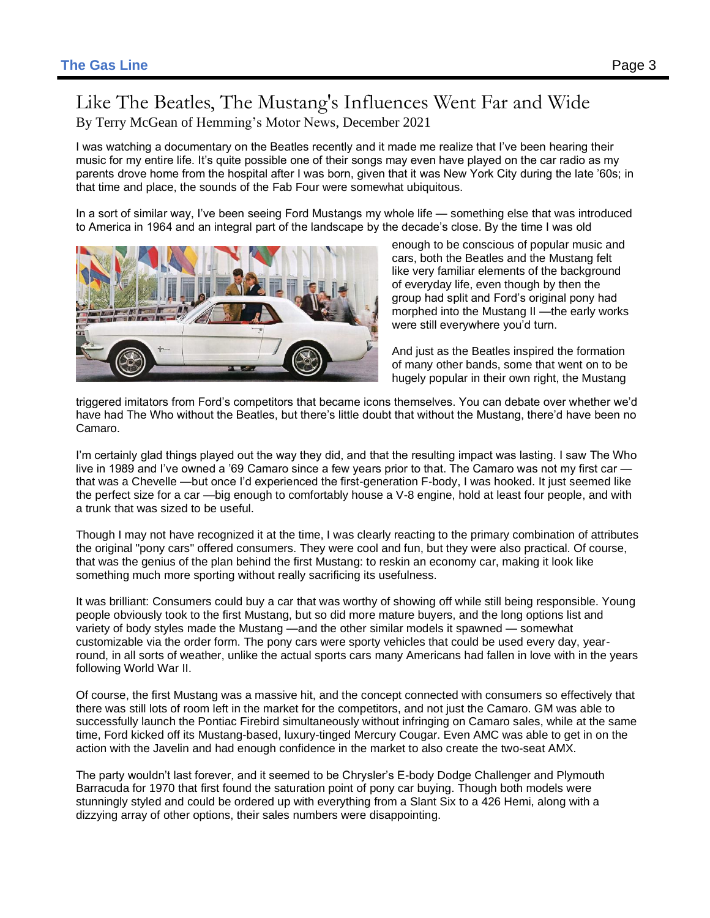### Like The Beatles, The Mustang's Influences Went Far and Wide By Terry McGean of Hemming's Motor News, December 2021

I was watching a documentary on the Beatles recently and it made me realize that I've been hearing their music for my entire life. It's quite possible one of their songs may even have played on the car radio as my parents drove home from the hospital after I was born, given that it was New York City during the late '60s; in that time and place, the sounds of the Fab Four were somewhat ubiquitous.

In a sort of similar way, I've been seeing Ford Mustangs my whole life — something else that was introduced to America in 1964 and an integral part of the landscape by the decade's close. By the time I was old



enough to be conscious of popular music and cars, both the Beatles and the Mustang felt like very familiar elements of the background of everyday life, even though by then the group had split and Ford's original pony had morphed into the Mustang II —the early works were still everywhere you'd turn.

And just as the Beatles inspired the formation of many other bands, some that went on to be hugely popular in their own right, the Mustang

triggered imitators from Ford's competitors that became icons themselves. You can debate over whether we'd have had The Who without the Beatles, but there's little doubt that without the Mustang, there'd have been no Camaro.

I'm certainly glad things played out the way they did, and that the resulting impact was lasting. I saw The Who live in 1989 and I've owned a '69 Camaro since a few years prior to that. The Camaro was not my first car that was a Chevelle —but once I'd experienced the first-generation F-body, I was hooked. It just seemed like the perfect size for a car —big enough to comfortably house a V-8 engine, hold at least four people, and with a trunk that was sized to be useful.

Though I may not have recognized it at the time, I was clearly reacting to the primary combination of attributes the original "pony cars" offered consumers. They were cool and fun, but they were also practical. Of course, that was the genius of the plan behind the first Mustang: to reskin an economy car, making it look like something much more sporting without really sacrificing its usefulness.

It was brilliant: Consumers could buy a car that was worthy of showing off while still being responsible. Young people obviously took to the first Mustang, but so did more mature buyers, and the long options list and variety of body styles made the Mustang —and the other similar models it spawned — somewhat customizable via the order form. The pony cars were sporty vehicles that could be used every day, yearround, in all sorts of weather, unlike the actual sports cars many Americans had fallen in love with in the years following World War II.

Of course, the first Mustang was a massive hit, and the concept connected with consumers so effectively that there was still lots of room left in the market for the competitors, and not just the Camaro. GM was able to successfully launch the Pontiac Firebird simultaneously without infringing on Camaro sales, while at the same time, Ford kicked off its Mustang-based, luxury-tinged Mercury Cougar. Even AMC was able to get in on the action with the Javelin and had enough confidence in the market to also create the two-seat AMX.

The party wouldn't last forever, and it seemed to be Chrysler's E-body Dodge Challenger and Plymouth Barracuda for 1970 that first found the saturation point of pony car buying. Though both models were stunningly styled and could be ordered up with everything from a Slant Six to a 426 Hemi, along with a dizzying array of other options, their sales numbers were disappointing.